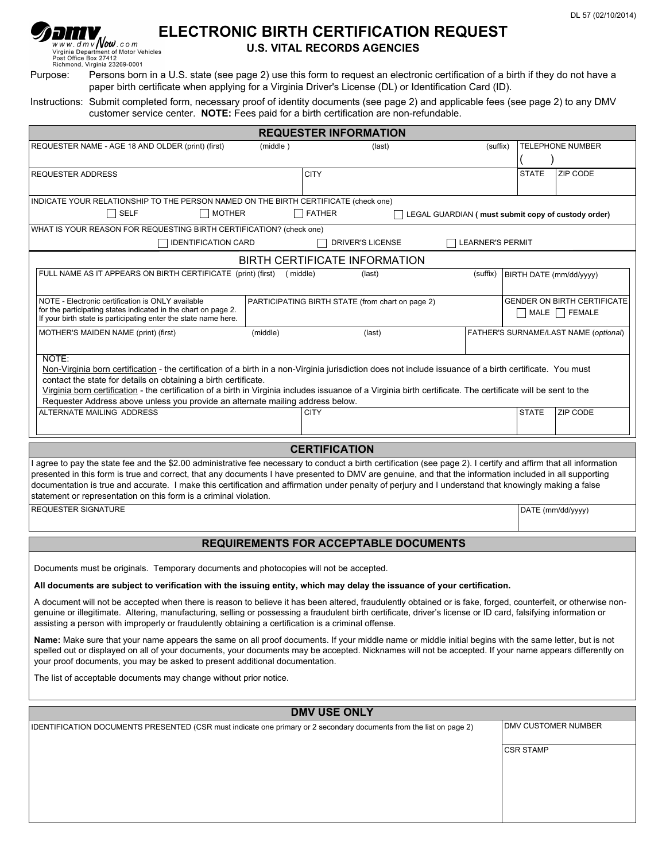# **ELECTRONIC BIRTH CERTIFICATION REQUEST**<br>Vivid July 2011 Computed to Motor Vehicles<br>Post Office Box 27412<br>Richmond, Virginia 23269-0001

ן רן

## **U.S. VITAL RECORDS AGENCIES**

Purpose: Persons born in a U.S. state (see page 2) use this form to request an electronic certification of a birth if they do not have a paper birth certificate when applying for a Virginia Driver's License (DL) or Identification Card (ID).

Instructions: Submit completed form, necessary proof of identity documents (see page 2) and applicable fees (see page 2) to any DMV customer service center. **NOTE:** Fees paid for a birth certification are non-refundable.

| <b>REQUESTER INFORMATION</b>                                                                                                                                                                                                                                                                                                                                                                                                                                                                                                                               |                                                                                                                           |                      |                                                         |          |                  |                                       |  |  |
|------------------------------------------------------------------------------------------------------------------------------------------------------------------------------------------------------------------------------------------------------------------------------------------------------------------------------------------------------------------------------------------------------------------------------------------------------------------------------------------------------------------------------------------------------------|---------------------------------------------------------------------------------------------------------------------------|----------------------|---------------------------------------------------------|----------|------------------|---------------------------------------|--|--|
| REQUESTER NAME - AGE 18 AND OLDER (print) (first)                                                                                                                                                                                                                                                                                                                                                                                                                                                                                                          | (middle)                                                                                                                  | (last)               |                                                         | (suffix) |                  | <b>TELEPHONE NUMBER</b>               |  |  |
| REQUESTER ADDRESS                                                                                                                                                                                                                                                                                                                                                                                                                                                                                                                                          |                                                                                                                           | <b>CITY</b>          |                                                         |          | <b>STATE</b>     | ZIP CODE                              |  |  |
| INDICATE YOUR RELATIONSHIP TO THE PERSON NAMED ON THE BIRTH CERTIFICATE (check one)<br>$\Box$ SELF<br>$\Box$ MOTHER<br><b>FATHER</b><br>LEGAL GUARDIAN ( must submit copy of custody order)                                                                                                                                                                                                                                                                                                                                                                |                                                                                                                           |                      |                                                         |          |                  |                                       |  |  |
| WHAT IS YOUR REASON FOR REQUESTING BIRTH CERTIFICATION? (check one)                                                                                                                                                                                                                                                                                                                                                                                                                                                                                        |                                                                                                                           |                      |                                                         |          |                  |                                       |  |  |
| <b>IDENTIFICATION CARD</b><br>DRIVER'S LICENSE<br><b>LEARNER'S PERMIT</b>                                                                                                                                                                                                                                                                                                                                                                                                                                                                                  |                                                                                                                           |                      |                                                         |          |                  |                                       |  |  |
| <b>BIRTH CERTIFICATE INFORMATION</b>                                                                                                                                                                                                                                                                                                                                                                                                                                                                                                                       |                                                                                                                           |                      |                                                         |          |                  |                                       |  |  |
|                                                                                                                                                                                                                                                                                                                                                                                                                                                                                                                                                            | FULL NAME AS IT APPEARS ON BIRTH CERTIFICATE (print) (first)<br>(middle)<br>(suffix)<br>(last)<br>BIRTH DATE (mm/dd/yyyy) |                      |                                                         |          |                  |                                       |  |  |
| NOTE - Electronic certification is ONLY available<br>for the participating states indicated in the chart on page 2.<br>If your birth state is participating enter the state name here.                                                                                                                                                                                                                                                                                                                                                                     | PARTICIPATING BIRTH STATE (from chart on page 2)                                                                          |                      | <b>GENDER ON BIRTH CERTIFICATE</b><br>  MALE     FEMALE |          |                  |                                       |  |  |
| MOTHER'S MAIDEN NAME (print) (first)                                                                                                                                                                                                                                                                                                                                                                                                                                                                                                                       | (middle)                                                                                                                  | (last)               |                                                         |          |                  | FATHER'S SURNAME/LAST NAME (optional) |  |  |
| NOTE:<br>Non-Virginia born certification - the certification of a birth in a non-Virginia jurisdiction does not include issuance of a birth certificate. You must<br>contact the state for details on obtaining a birth certificate.<br>Virginia born certification - the certification of a birth in Virginia includes issuance of a Virginia birth certificate. The certificate will be sent to the<br>Requester Address above unless you provide an alternate mailing address below.                                                                    |                                                                                                                           |                      |                                                         |          |                  |                                       |  |  |
| ALTERNATE MAILING ADDRESS                                                                                                                                                                                                                                                                                                                                                                                                                                                                                                                                  |                                                                                                                           | <b>CITY</b>          |                                                         |          | <b>STATE</b>     | ZIP CODE                              |  |  |
|                                                                                                                                                                                                                                                                                                                                                                                                                                                                                                                                                            |                                                                                                                           |                      |                                                         |          |                  |                                       |  |  |
|                                                                                                                                                                                                                                                                                                                                                                                                                                                                                                                                                            |                                                                                                                           | <b>CERTIFICATION</b> |                                                         |          |                  |                                       |  |  |
| I agree to pay the state fee and the \$2.00 administrative fee necessary to conduct a birth certification (see page 2). I certify and affirm that all information<br>presented in this form is true and correct, that any documents I have presented to DMV are genuine, and that the information included in all supporting<br>documentation is true and accurate. I make this certification and affirmation under penalty of perjury and I understand that knowingly making a false<br>statement or representation on this form is a criminal violation. |                                                                                                                           |                      |                                                         |          |                  |                                       |  |  |
| <b>REQUESTER SIGNATURE</b>                                                                                                                                                                                                                                                                                                                                                                                                                                                                                                                                 |                                                                                                                           | DATE (mm/dd/yyyy)    |                                                         |          |                  |                                       |  |  |
| <b>REQUIREMENTS FOR ACCEPTABLE DOCUMENTS</b>                                                                                                                                                                                                                                                                                                                                                                                                                                                                                                               |                                                                                                                           |                      |                                                         |          |                  |                                       |  |  |
| Documents must be originals. Temporary documents and photocopies will not be accepted.                                                                                                                                                                                                                                                                                                                                                                                                                                                                     |                                                                                                                           |                      |                                                         |          |                  |                                       |  |  |
| All documents are subject to verification with the issuing entity, which may delay the issuance of your certification.                                                                                                                                                                                                                                                                                                                                                                                                                                     |                                                                                                                           |                      |                                                         |          |                  |                                       |  |  |
| A document will not be accepted when there is reason to believe it has been altered, fraudulently obtained or is fake, forged, counterfeit, or otherwise non-<br>genuine or illegitimate. Altering, manufacturing, selling or possessing a fraudulent birth certificate, driver's license or ID card, falsifying information or<br>assisting a person with improperly or fraudulently obtaining a certification is a criminal offense.                                                                                                                     |                                                                                                                           |                      |                                                         |          |                  |                                       |  |  |
| Name: Make sure that your name appears the same on all proof documents. If your middle name or middle initial begins with the same letter, but is not<br>spelled out or displayed on all of your documents, your documents may be accepted. Nicknames will not be accepted. If your name appears differently on<br>your proof documents, you may be asked to present additional documentation.                                                                                                                                                             |                                                                                                                           |                      |                                                         |          |                  |                                       |  |  |
| The list of acceptable documents may change without prior notice.                                                                                                                                                                                                                                                                                                                                                                                                                                                                                          |                                                                                                                           |                      |                                                         |          |                  |                                       |  |  |
| <b>DMV USE ONLY</b>                                                                                                                                                                                                                                                                                                                                                                                                                                                                                                                                        |                                                                                                                           |                      |                                                         |          |                  |                                       |  |  |
| IDENTIFICATION DOCUMENTS PRESENTED (CSR must indicate one primary or 2 secondary documents from the list on page 2)                                                                                                                                                                                                                                                                                                                                                                                                                                        |                                                                                                                           |                      |                                                         |          |                  | DMV CUSTOMER NUMBER                   |  |  |
|                                                                                                                                                                                                                                                                                                                                                                                                                                                                                                                                                            |                                                                                                                           |                      |                                                         |          | <b>CSR STAMP</b> |                                       |  |  |
|                                                                                                                                                                                                                                                                                                                                                                                                                                                                                                                                                            |                                                                                                                           |                      |                                                         |          |                  |                                       |  |  |
|                                                                                                                                                                                                                                                                                                                                                                                                                                                                                                                                                            |                                                                                                                           |                      |                                                         |          |                  |                                       |  |  |
|                                                                                                                                                                                                                                                                                                                                                                                                                                                                                                                                                            |                                                                                                                           |                      |                                                         |          |                  |                                       |  |  |